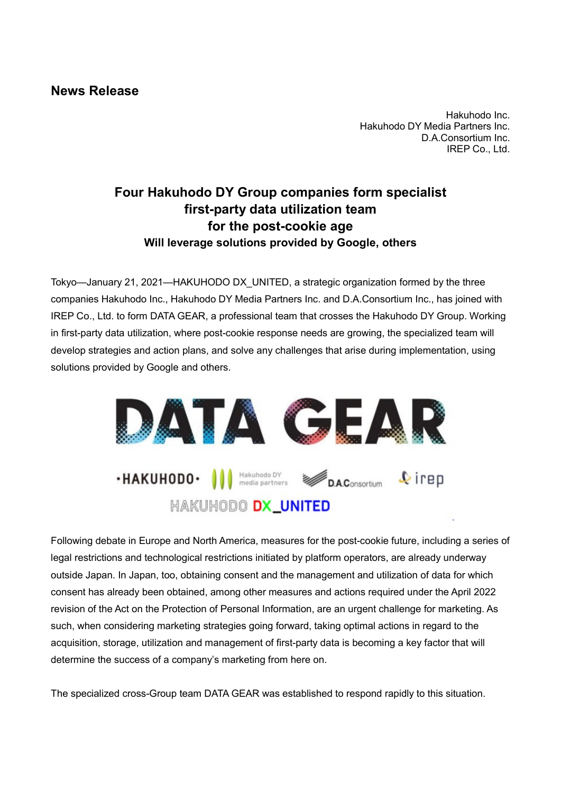## **News Release**

Hakuhodo Inc. Hakuhodo DY Media Partners Inc. D.A.Consortium Inc. IREP Co., Ltd.

## **Four Hakuhodo DY Group companies form specialist first-party data utilization team for the post-cookie age Will leverage solutions provided by Google, others**

Tokyo—January 21, 2021—HAKUHODO DX\_UNITED, a strategic organization formed by the three companies Hakuhodo Inc., Hakuhodo DY Media Partners Inc. and D.A.Consortium Inc., has joined with IREP Co., Ltd. to form DATA GEAR, a professional team that crosses the Hakuhodo DY Group. Working in first-party data utilization, where post-cookie response needs are growing, the specialized team will develop strategies and action plans, and solve any challenges that arise during implementation, using solutions provided by Google and others.



Following debate in Europe and North America, measures for the post-cookie future, including a series of legal restrictions and technological restrictions initiated by platform operators, are already underway outside Japan. In Japan, too, obtaining consent and the management and utilization of data for which consent has already been obtained, among other measures and actions required under the April 2022 revision of the Act on the Protection of Personal Information, are an urgent challenge for marketing. As such, when considering marketing strategies going forward, taking optimal actions in regard to the acquisition, storage, utilization and management of first-party data is becoming a key factor that will determine the success of a company's marketing from here on.

The specialized cross-Group team DATA GEAR was established to respond rapidly to this situation.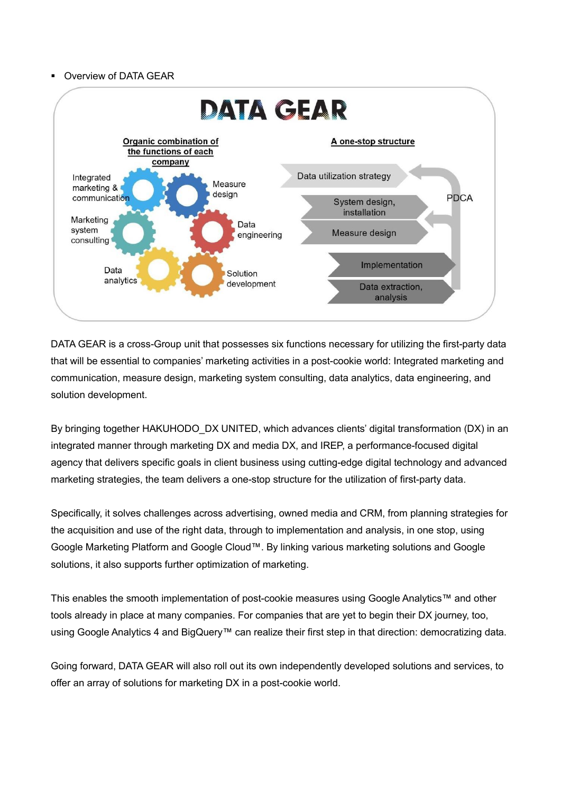## Overview of DATA GEAR



DATA GEAR is a cross-Group unit that possesses six functions necessary for utilizing the first-party data that will be essential to companies' marketing activities in a post-cookie world: Integrated marketing and communication, measure design, marketing system consulting, data analytics, data engineering, and solution development.

By bringing together HAKUHODO\_DX UNITED, which advances clients' digital transformation (DX) in an integrated manner through marketing DX and media DX, and IREP, a performance-focused digital agency that delivers specific goals in client business using cutting-edge digital technology and advanced marketing strategies, the team delivers a one-stop structure for the utilization of first-party data.

Specifically, it solves challenges across advertising, owned media and CRM, from planning strategies for the acquisition and use of the right data, through to implementation and analysis, in one stop, using Google Marketing Platform and Google Cloud™. By linking various marketing solutions and Google solutions, it also supports further optimization of marketing.

This enables the smooth implementation of post-cookie measures using Google Analytics™ and other tools already in place at many companies. For companies that are yet to begin their DX journey, too, using Google Analytics 4 and BigQuery™ can realize their first step in that direction: democratizing data.

Going forward, DATA GEAR will also roll out its own independently developed solutions and services, to offer an array of solutions for marketing DX in a post-cookie world.